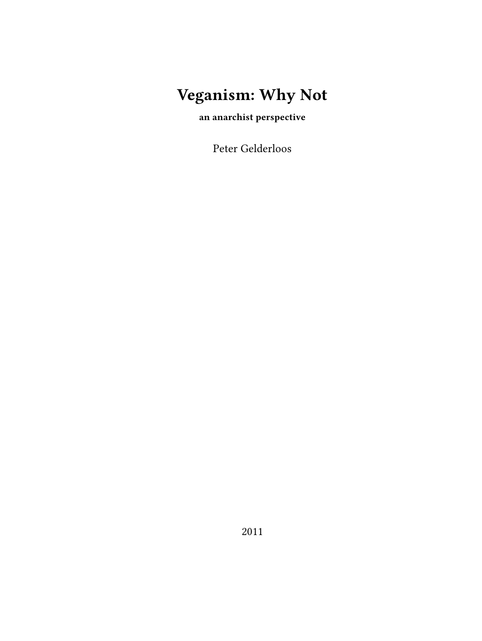# **Veganism: Why Not**

**an anarchist perspective**

Peter Gelderloos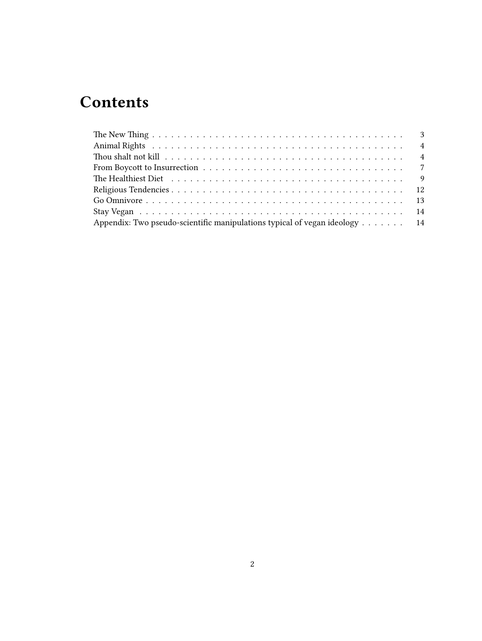## **Contents**

| The Healthiest Diet $\dots \dots \dots \dots \dots \dots \dots \dots \dots \dots \dots \dots \dots \dots$ |  |
|-----------------------------------------------------------------------------------------------------------|--|
|                                                                                                           |  |
|                                                                                                           |  |
|                                                                                                           |  |
| Appendix: Two pseudo-scientific manipulations typical of vegan ideology $\dots \dots$                     |  |
|                                                                                                           |  |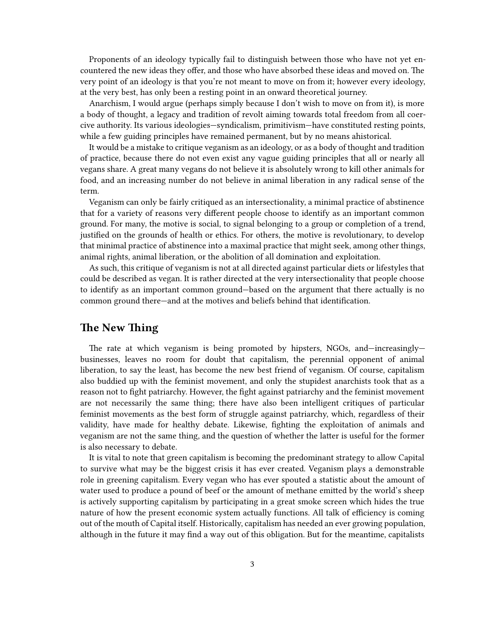Proponents of an ideology typically fail to distinguish between those who have not yet encountered the new ideas they offer, and those who have absorbed these ideas and moved on. The very point of an ideology is that you're not meant to move on from it; however every ideology, at the very best, has only been a resting point in an onward theoretical journey.

Anarchism, I would argue (perhaps simply because I don't wish to move on from it), is more a body of thought, a legacy and tradition of revolt aiming towards total freedom from all coercive authority. Its various ideologies—syndicalism, primitivism—have constituted resting points, while a few guiding principles have remained permanent, but by no means ahistorical.

It would be a mistake to critique veganism as an ideology, or as a body of thought and tradition of practice, because there do not even exist any vague guiding principles that all or nearly all vegans share. A great many vegans do not believe it is absolutely wrong to kill other animals for food, and an increasing number do not believe in animal liberation in any radical sense of the term.

Veganism can only be fairly critiqued as an intersectionality, a minimal practice of abstinence that for a variety of reasons very different people choose to identify as an important common ground. For many, the motive is social, to signal belonging to a group or completion of a trend, justified on the grounds of health or ethics. For others, the motive is revolutionary, to develop that minimal practice of abstinence into a maximal practice that might seek, among other things, animal rights, animal liberation, or the abolition of all domination and exploitation.

As such, this critique of veganism is not at all directed against particular diets or lifestyles that could be described as vegan. It is rather directed at the very intersectionality that people choose to identify as an important common ground—based on the argument that there actually is no common ground there—and at the motives and beliefs behind that identification.

#### <span id="page-2-0"></span>**The New Thing**

The rate at which veganism is being promoted by hipsters, NGOs, and—increasingly businesses, leaves no room for doubt that capitalism, the perennial opponent of animal liberation, to say the least, has become the new best friend of veganism. Of course, capitalism also buddied up with the feminist movement, and only the stupidest anarchists took that as a reason not to fight patriarchy. However, the fight against patriarchy and the feminist movement are not necessarily the same thing; there have also been intelligent critiques of particular feminist movements as the best form of struggle against patriarchy, which, regardless of their validity, have made for healthy debate. Likewise, fighting the exploitation of animals and veganism are not the same thing, and the question of whether the latter is useful for the former is also necessary to debate.

It is vital to note that green capitalism is becoming the predominant strategy to allow Capital to survive what may be the biggest crisis it has ever created. Veganism plays a demonstrable role in greening capitalism. Every vegan who has ever spouted a statistic about the amount of water used to produce a pound of beef or the amount of methane emitted by the world's sheep is actively supporting capitalism by participating in a great smoke screen which hides the true nature of how the present economic system actually functions. All talk of efficiency is coming out of the mouth of Capital itself. Historically, capitalism has needed an ever growing population, although in the future it may find a way out of this obligation. But for the meantime, capitalists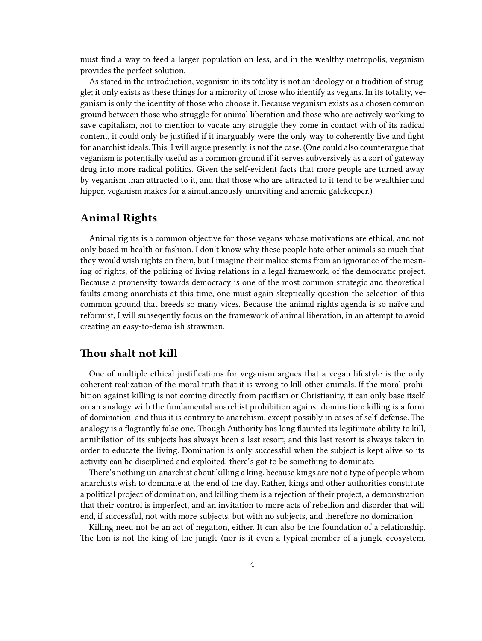must find a way to feed a larger population on less, and in the wealthy metropolis, veganism provides the perfect solution.

As stated in the introduction, veganism in its totality is not an ideology or a tradition of struggle; it only exists as these things for a minority of those who identify as vegans. In its totality, veganism is only the identity of those who choose it. Because veganism exists as a chosen common ground between those who struggle for animal liberation and those who are actively working to save capitalism, not to mention to vacate any struggle they come in contact with of its radical content, it could only be justified if it inarguably were the only way to coherently live and fight for anarchist ideals. This, I will argue presently, is not the case. (One could also counterargue that veganism is potentially useful as a common ground if it serves subversively as a sort of gateway drug into more radical politics. Given the self-evident facts that more people are turned away by veganism than attracted to it, and that those who are attracted to it tend to be wealthier and hipper, veganism makes for a simultaneously uninviting and anemic gatekeeper.)

#### <span id="page-3-0"></span>**Animal Rights**

Animal rights is a common objective for those vegans whose motivations are ethical, and not only based in health or fashion. I don't know why these people hate other animals so much that they would wish rights on them, but I imagine their malice stems from an ignorance of the meaning of rights, of the policing of living relations in a legal framework, of the democratic project. Because a propensity towards democracy is one of the most common strategic and theoretical faults among anarchists at this time, one must again skeptically question the selection of this common ground that breeds so many vices. Because the animal rights agenda is so naïve and reformist, I will subseqently focus on the framework of animal liberation, in an attempt to avoid creating an easy-to-demolish strawman.

#### <span id="page-3-1"></span>**Thou shalt not kill**

One of multiple ethical justifications for veganism argues that a vegan lifestyle is the only coherent realization of the moral truth that it is wrong to kill other animals. If the moral prohibition against killing is not coming directly from pacifism or Christianity, it can only base itself on an analogy with the fundamental anarchist prohibition against domination: killing is a form of domination, and thus it is contrary to anarchism, except possibly in cases of self-defense. The analogy is a flagrantly false one. Though Authority has long flaunted its legitimate ability to kill, annihilation of its subjects has always been a last resort, and this last resort is always taken in order to educate the living. Domination is only successful when the subject is kept alive so its activity can be disciplined and exploited: there's got to be something to dominate.

There's nothing un-anarchist about killing a king, because kings are not a type of people whom anarchists wish to dominate at the end of the day. Rather, kings and other authorities constitute a political project of domination, and killing them is a rejection of their project, a demonstration that their control is imperfect, and an invitation to more acts of rebellion and disorder that will end, if successful, not with more subjects, but with no subjects, and therefore no domination.

Killing need not be an act of negation, either. It can also be the foundation of a relationship. The lion is not the king of the jungle (nor is it even a typical member of a jungle ecosystem,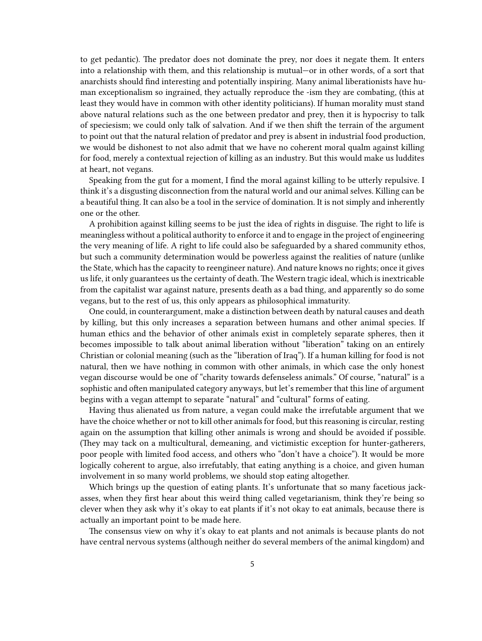to get pedantic). The predator does not dominate the prey, nor does it negate them. It enters into a relationship with them, and this relationship is mutual—or in other words, of a sort that anarchists should find interesting and potentially inspiring. Many animal liberationists have human exceptionalism so ingrained, they actually reproduce the -ism they are combating, (this at least they would have in common with other identity politicians). If human morality must stand above natural relations such as the one between predator and prey, then it is hypocrisy to talk of speciesism; we could only talk of salvation. And if we then shift the terrain of the argument to point out that the natural relation of predator and prey is absent in industrial food production, we would be dishonest to not also admit that we have no coherent moral qualm against killing for food, merely a contextual rejection of killing as an industry. But this would make us luddites at heart, not vegans.

Speaking from the gut for a moment, I find the moral against killing to be utterly repulsive. I think it's a disgusting disconnection from the natural world and our animal selves. Killing can be a beautiful thing. It can also be a tool in the service of domination. It is not simply and inherently one or the other.

A prohibition against killing seems to be just the idea of rights in disguise. The right to life is meaningless without a political authority to enforce it and to engage in the project of engineering the very meaning of life. A right to life could also be safeguarded by a shared community ethos, but such a community determination would be powerless against the realities of nature (unlike the State, which has the capacity to reengineer nature). And nature knows no rights; once it gives us life, it only guarantees us the certainty of death. The Western tragic ideal, which is inextricable from the capitalist war against nature, presents death as a bad thing, and apparently so do some vegans, but to the rest of us, this only appears as philosophical immaturity.

One could, in counterargument, make a distinction between death by natural causes and death by killing, but this only increases a separation between humans and other animal species. If human ethics and the behavior of other animals exist in completely separate spheres, then it becomes impossible to talk about animal liberation without "liberation" taking on an entirely Christian or colonial meaning (such as the "liberation of Iraq"). If a human killing for food is not natural, then we have nothing in common with other animals, in which case the only honest vegan discourse would be one of "charity towards defenseless animals." Of course, "natural" is a sophistic and often manipulated category anyways, but let's remember that this line of argument begins with a vegan attempt to separate "natural" and "cultural" forms of eating.

Having thus alienated us from nature, a vegan could make the irrefutable argument that we have the choice whether or not to kill other animals for food, but this reasoning is circular, resting again on the assumption that killing other animals is wrong and should be avoided if possible. (They may tack on a multicultural, demeaning, and victimistic exception for hunter-gatherers, poor people with limited food access, and others who "don't have a choice"). It would be more logically coherent to argue, also irrefutably, that eating anything is a choice, and given human involvement in so many world problems, we should stop eating altogether.

Which brings up the question of eating plants. It's unfortunate that so many facetious jackasses, when they first hear about this weird thing called vegetarianism, think they're being so clever when they ask why it's okay to eat plants if it's not okay to eat animals, because there is actually an important point to be made here.

The consensus view on why it's okay to eat plants and not animals is because plants do not have central nervous systems (although neither do several members of the animal kingdom) and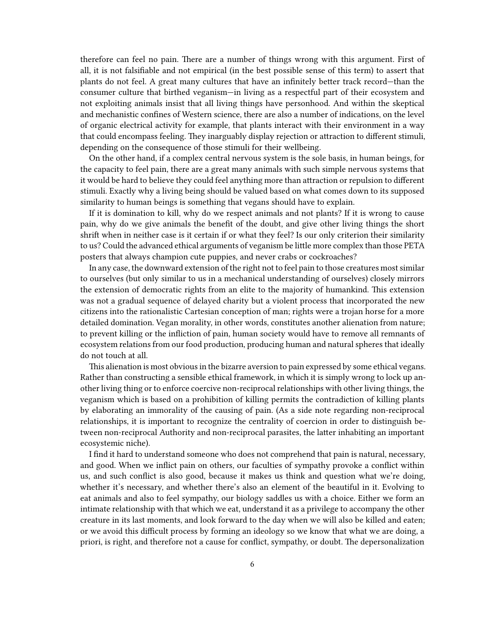therefore can feel no pain. There are a number of things wrong with this argument. First of all, it is not falsifiable and not empirical (in the best possible sense of this term) to assert that plants do not feel. A great many cultures that have an infinitely better track record—than the consumer culture that birthed veganism—in living as a respectful part of their ecosystem and not exploiting animals insist that all living things have personhood. And within the skeptical and mechanistic confines of Western science, there are also a number of indications, on the level of organic electrical activity for example, that plants interact with their environment in a way that could encompass feeling. They inarguably display rejection or attraction to different stimuli, depending on the consequence of those stimuli for their wellbeing.

On the other hand, if a complex central nervous system is the sole basis, in human beings, for the capacity to feel pain, there are a great many animals with such simple nervous systems that it would be hard to believe they could feel anything more than attraction or repulsion to different stimuli. Exactly why a living being should be valued based on what comes down to its supposed similarity to human beings is something that vegans should have to explain.

If it is domination to kill, why do we respect animals and not plants? If it is wrong to cause pain, why do we give animals the benefit of the doubt, and give other living things the short shrift when in neither case is it certain if or what they feel? Is our only criterion their similarity to us? Could the advanced ethical arguments of veganism be little more complex than those PETA posters that always champion cute puppies, and never crabs or cockroaches?

In any case, the downward extension of the right not to feel pain to those creatures most similar to ourselves (but only similar to us in a mechanical understanding of ourselves) closely mirrors the extension of democratic rights from an elite to the majority of humankind. This extension was not a gradual sequence of delayed charity but a violent process that incorporated the new citizens into the rationalistic Cartesian conception of man; rights were a trojan horse for a more detailed domination. Vegan morality, in other words, constitutes another alienation from nature; to prevent killing or the infliction of pain, human society would have to remove all remnants of ecosystem relations from our food production, producing human and natural spheres that ideally do not touch at all.

This alienation is most obvious in the bizarre aversion to pain expressed by some ethical vegans. Rather than constructing a sensible ethical framework, in which it is simply wrong to lock up another living thing or to enforce coercive non-reciprocal relationships with other living things, the veganism which is based on a prohibition of killing permits the contradiction of killing plants by elaborating an immorality of the causing of pain. (As a side note regarding non-reciprocal relationships, it is important to recognize the centrality of coercion in order to distinguish between non-reciprocal Authority and non-reciprocal parasites, the latter inhabiting an important ecosystemic niche).

I find it hard to understand someone who does not comprehend that pain is natural, necessary, and good. When we inflict pain on others, our faculties of sympathy provoke a conflict within us, and such conflict is also good, because it makes us think and question what we're doing, whether it's necessary, and whether there's also an element of the beautiful in it. Evolving to eat animals and also to feel sympathy, our biology saddles us with a choice. Either we form an intimate relationship with that which we eat, understand it as a privilege to accompany the other creature in its last moments, and look forward to the day when we will also be killed and eaten; or we avoid this difficult process by forming an ideology so we know that what we are doing, a priori, is right, and therefore not a cause for conflict, sympathy, or doubt. The depersonalization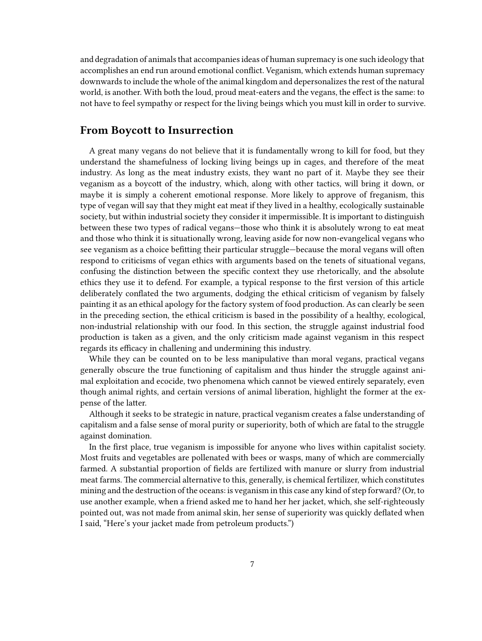and degradation of animals that accompanies ideas of human supremacy is one such ideology that accomplishes an end run around emotional conflict. Veganism, which extends human supremacy downwards to include the whole of the animal kingdom and depersonalizes the rest of the natural world, is another. With both the loud, proud meat-eaters and the vegans, the effect is the same: to not have to feel sympathy or respect for the living beings which you must kill in order to survive.

#### <span id="page-6-0"></span>**From Boycott to Insurrection**

A great many vegans do not believe that it is fundamentally wrong to kill for food, but they understand the shamefulness of locking living beings up in cages, and therefore of the meat industry. As long as the meat industry exists, they want no part of it. Maybe they see their veganism as a boycott of the industry, which, along with other tactics, will bring it down, or maybe it is simply a coherent emotional response. More likely to approve of freganism, this type of vegan will say that they might eat meat if they lived in a healthy, ecologically sustainable society, but within industrial society they consider it impermissible. It is important to distinguish between these two types of radical vegans—those who think it is absolutely wrong to eat meat and those who think it is situationally wrong, leaving aside for now non-evangelical vegans who see veganism as a choice befitting their particular struggle—because the moral vegans will often respond to criticisms of vegan ethics with arguments based on the tenets of situational vegans, confusing the distinction between the specific context they use rhetorically, and the absolute ethics they use it to defend. For example, a typical response to the first version of this article deliberately conflated the two arguments, dodging the ethical criticism of veganism by falsely painting it as an ethical apology for the factory system of food production. As can clearly be seen in the preceding section, the ethical criticism is based in the possibility of a healthy, ecological, non-industrial relationship with our food. In this section, the struggle against industrial food production is taken as a given, and the only criticism made against veganism in this respect regards its efficacy in challening and undermining this industry.

While they can be counted on to be less manipulative than moral vegans, practical vegans generally obscure the true functioning of capitalism and thus hinder the struggle against animal exploitation and ecocide, two phenomena which cannot be viewed entirely separately, even though animal rights, and certain versions of animal liberation, highlight the former at the expense of the latter.

Although it seeks to be strategic in nature, practical veganism creates a false understanding of capitalism and a false sense of moral purity or superiority, both of which are fatal to the struggle against domination.

In the first place, true veganism is impossible for anyone who lives within capitalist society. Most fruits and vegetables are pollenated with bees or wasps, many of which are commercially farmed. A substantial proportion of fields are fertilized with manure or slurry from industrial meat farms. The commercial alternative to this, generally, is chemical fertilizer, which constitutes mining and the destruction of the oceans: is veganism in this case any kind of step forward? (Or, to use another example, when a friend asked me to hand her her jacket, which, she self-righteously pointed out, was not made from animal skin, her sense of superiority was quickly deflated when I said, "Here's your jacket made from petroleum products.")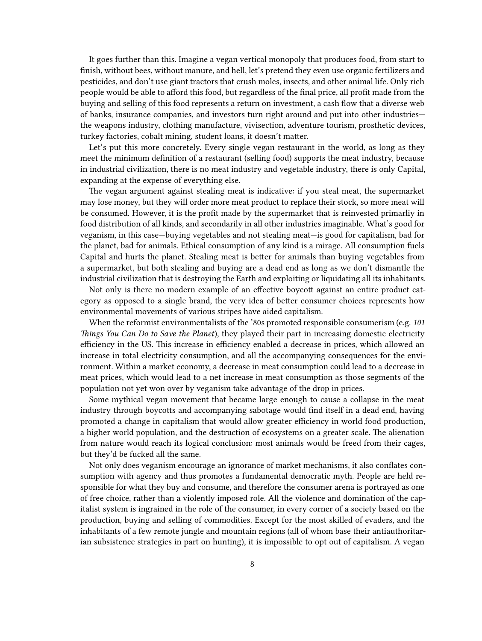It goes further than this. Imagine a vegan vertical monopoly that produces food, from start to finish, without bees, without manure, and hell, let's pretend they even use organic fertilizers and pesticides, and don't use giant tractors that crush moles, insects, and other animal life. Only rich people would be able to afford this food, but regardless of the final price, all profit made from the buying and selling of this food represents a return on investment, a cash flow that a diverse web of banks, insurance companies, and investors turn right around and put into other industries the weapons industry, clothing manufacture, vivisection, adventure tourism, prosthetic devices, turkey factories, cobalt mining, student loans, it doesn't matter.

Let's put this more concretely. Every single vegan restaurant in the world, as long as they meet the minimum definition of a restaurant (selling food) supports the meat industry, because in industrial civilization, there is no meat industry and vegetable industry, there is only Capital, expanding at the expense of everything else.

The vegan argument against stealing meat is indicative: if you steal meat, the supermarket may lose money, but they will order more meat product to replace their stock, so more meat will be consumed. However, it is the profit made by the supermarket that is reinvested primarliy in food distribution of all kinds, and secondarily in all other industries imaginable. What's good for veganism, in this case—buying vegetables and not stealing meat—is good for capitalism, bad for the planet, bad for animals. Ethical consumption of any kind is a mirage. All consumption fuels Capital and hurts the planet. Stealing meat is better for animals than buying vegetables from a supermarket, but both stealing and buying are a dead end as long as we don't dismantle the industrial civilization that is destroying the Earth and exploiting or liquidating all its inhabitants.

Not only is there no modern example of an effective boycott against an entire product category as opposed to a single brand, the very idea of better consumer choices represents how environmental movements of various stripes have aided capitalism.

When the reformist environmentalists of the '80s promoted responsible consumerism (e.g. *101 Things You Can Do to Save the Planet*), they played their part in increasing domestic electricity efficiency in the US. This increase in efficiency enabled a decrease in prices, which allowed an increase in total electricity consumption, and all the accompanying consequences for the environment. Within a market economy, a decrease in meat consumption could lead to a decrease in meat prices, which would lead to a net increase in meat consumption as those segments of the population not yet won over by veganism take advantage of the drop in prices.

Some mythical vegan movement that became large enough to cause a collapse in the meat industry through boycotts and accompanying sabotage would find itself in a dead end, having promoted a change in capitalism that would allow greater efficiency in world food production, a higher world population, and the destruction of ecosystems on a greater scale. The alienation from nature would reach its logical conclusion: most animals would be freed from their cages, but they'd be fucked all the same.

Not only does veganism encourage an ignorance of market mechanisms, it also conflates consumption with agency and thus promotes a fundamental democratic myth. People are held responsible for what they buy and consume, and therefore the consumer arena is portrayed as one of free choice, rather than a violently imposed role. All the violence and domination of the capitalist system is ingrained in the role of the consumer, in every corner of a society based on the production, buying and selling of commodities. Except for the most skilled of evaders, and the inhabitants of a few remote jungle and mountain regions (all of whom base their antiauthoritarian subsistence strategies in part on hunting), it is impossible to opt out of capitalism. A vegan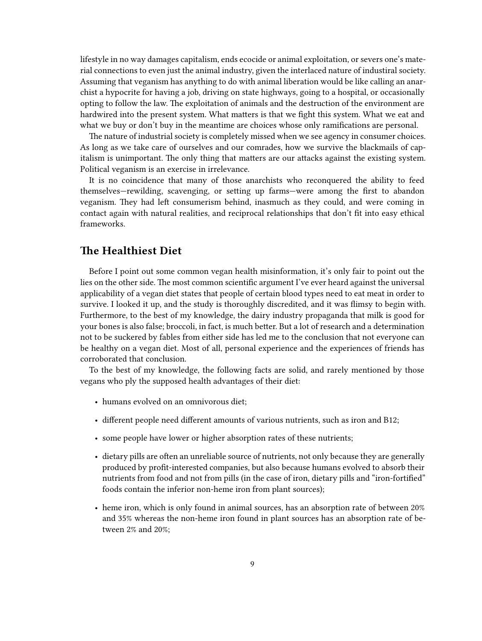lifestyle in no way damages capitalism, ends ecocide or animal exploitation, or severs one's material connections to even just the animal industry, given the interlaced nature of industiral society. Assuming that veganism has anything to do with animal liberation would be like calling an anarchist a hypocrite for having a job, driving on state highways, going to a hospital, or occasionally opting to follow the law. The exploitation of animals and the destruction of the environment are hardwired into the present system. What matters is that we fight this system. What we eat and what we buy or don't buy in the meantime are choices whose only ramifications are personal.

The nature of industrial society is completely missed when we see agency in consumer choices. As long as we take care of ourselves and our comrades, how we survive the blackmails of capitalism is unimportant. The only thing that matters are our attacks against the existing system. Political veganism is an exercise in irrelevance.

It is no coincidence that many of those anarchists who reconquered the ability to feed themselves—rewilding, scavenging, or setting up farms—were among the first to abandon veganism. They had left consumerism behind, inasmuch as they could, and were coming in contact again with natural realities, and reciprocal relationships that don't fit into easy ethical frameworks.

#### <span id="page-8-0"></span>**The Healthiest Diet**

Before I point out some common vegan health misinformation, it's only fair to point out the lies on the other side. The most common scientific argument I've ever heard against the universal applicability of a vegan diet states that people of certain blood types need to eat meat in order to survive. I looked it up, and the study is thoroughly discredited, and it was flimsy to begin with. Furthermore, to the best of my knowledge, the dairy industry propaganda that milk is good for your bones is also false; broccoli, in fact, is much better. But a lot of research and a determination not to be suckered by fables from either side has led me to the conclusion that not everyone can be healthy on a vegan diet. Most of all, personal experience and the experiences of friends has corroborated that conclusion.

To the best of my knowledge, the following facts are solid, and rarely mentioned by those vegans who ply the supposed health advantages of their diet:

- humans evolved on an omnivorous diet;
- different people need different amounts of various nutrients, such as iron and B12;
- some people have lower or higher absorption rates of these nutrients;
- dietary pills are often an unreliable source of nutrients, not only because they are generally produced by profit-interested companies, but also because humans evolved to absorb their nutrients from food and not from pills (in the case of iron, dietary pills and "iron-fortified" foods contain the inferior non-heme iron from plant sources);
- heme iron, which is only found in animal sources, has an absorption rate of between 20% and 35% whereas the non-heme iron found in plant sources has an absorption rate of between 2% and 20%;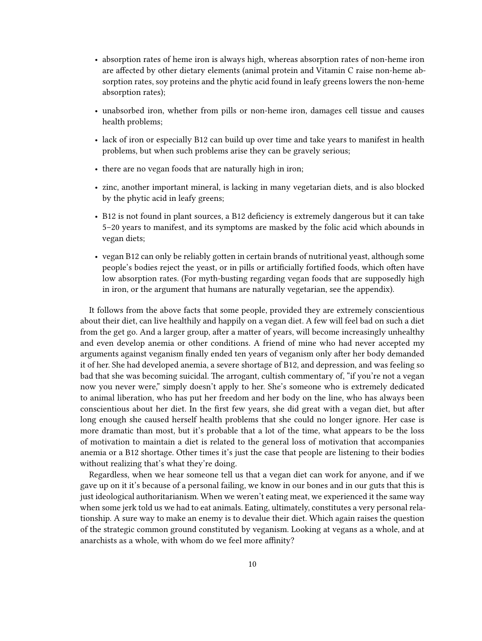- absorption rates of heme iron is always high, whereas absorption rates of non-heme iron are affected by other dietary elements (animal protein and Vitamin C raise non-heme absorption rates, soy proteins and the phytic acid found in leafy greens lowers the non-heme absorption rates);
- unabsorbed iron, whether from pills or non-heme iron, damages cell tissue and causes health problems;
- lack of iron or especially B12 can build up over time and take years to manifest in health problems, but when such problems arise they can be gravely serious;
- there are no vegan foods that are naturally high in iron;
- zinc, another important mineral, is lacking in many vegetarian diets, and is also blocked by the phytic acid in leafy greens;
- B12 is not found in plant sources, a B12 deficiency is extremely dangerous but it can take 5–20 years to manifest, and its symptoms are masked by the folic acid which abounds in vegan diets;
- vegan B12 can only be reliably gotten in certain brands of nutritional yeast, although some people's bodies reject the yeast, or in pills or artificially fortified foods, which often have low absorption rates. (For myth-busting regarding vegan foods that are supposedly high in iron, or the argument that humans are naturally vegetarian, see the appendix).

It follows from the above facts that some people, provided they are extremely conscientious about their diet, can live healthily and happily on a vegan diet. A few will feel bad on such a diet from the get go. And a larger group, after a matter of years, will become increasingly unhealthy and even develop anemia or other conditions. A friend of mine who had never accepted my arguments against veganism finally ended ten years of veganism only after her body demanded it of her. She had developed anemia, a severe shortage of B12, and depression, and was feeling so bad that she was becoming suicidal. The arrogant, cultish commentary of, "if you're not a vegan now you never were," simply doesn't apply to her. She's someone who is extremely dedicated to animal liberation, who has put her freedom and her body on the line, who has always been conscientious about her diet. In the first few years, she did great with a vegan diet, but after long enough she caused herself health problems that she could no longer ignore. Her case is more dramatic than most, but it's probable that a lot of the time, what appears to be the loss of motivation to maintain a diet is related to the general loss of motivation that accompanies anemia or a B12 shortage. Other times it's just the case that people are listening to their bodies without realizing that's what they're doing.

Regardless, when we hear someone tell us that a vegan diet can work for anyone, and if we gave up on it it's because of a personal failing, we know in our bones and in our guts that this is just ideological authoritarianism. When we weren't eating meat, we experienced it the same way when some jerk told us we had to eat animals. Eating, ultimately, constitutes a very personal relationship. A sure way to make an enemy is to devalue their diet. Which again raises the question of the strategic common ground constituted by veganism. Looking at vegans as a whole, and at anarchists as a whole, with whom do we feel more affinity?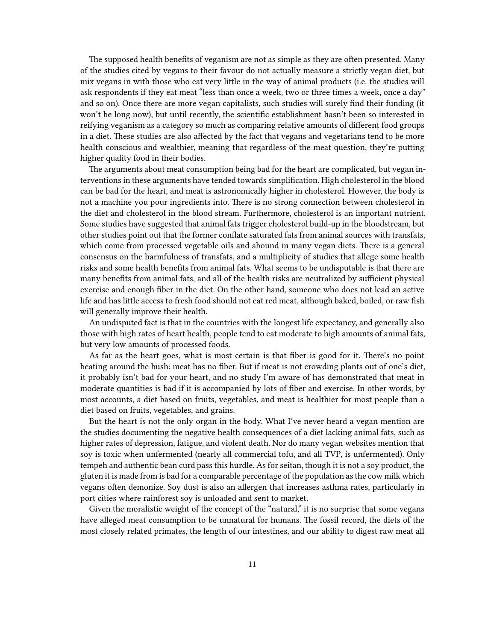The supposed health benefits of veganism are not as simple as they are often presented. Many of the studies cited by vegans to their favour do not actually measure a strictly vegan diet, but mix vegans in with those who eat very little in the way of animal products (i.e. the studies will ask respondents if they eat meat "less than once a week, two or three times a week, once a day" and so on). Once there are more vegan capitalists, such studies will surely find their funding (it won't be long now), but until recently, the scientific establishment hasn't been so interested in reifying veganism as a category so much as comparing relative amounts of different food groups in a diet. These studies are also affected by the fact that vegans and vegetarians tend to be more health conscious and wealthier, meaning that regardless of the meat question, they're putting higher quality food in their bodies.

The arguments about meat consumption being bad for the heart are complicated, but vegan interventions in these arguments have tended towards simplification. High cholesterol in the blood can be bad for the heart, and meat is astronomically higher in cholesterol. However, the body is not a machine you pour ingredients into. There is no strong connection between cholesterol in the diet and cholesterol in the blood stream. Furthermore, cholesterol is an important nutrient. Some studies have suggested that animal fats trigger cholesterol build-up in the bloodstream, but other studies point out that the former conflate saturated fats from animal sources with transfats, which come from processed vegetable oils and abound in many vegan diets. There is a general consensus on the harmfulness of transfats, and a multiplicity of studies that allege some health risks and some health benefits from animal fats. What seems to be undisputable is that there are many benefits from animal fats, and all of the health risks are neutralized by sufficient physical exercise and enough fiber in the diet. On the other hand, someone who does not lead an active life and has little access to fresh food should not eat red meat, although baked, boiled, or raw fish will generally improve their health.

An undisputed fact is that in the countries with the longest life expectancy, and generally also those with high rates of heart health, people tend to eat moderate to high amounts of animal fats, but very low amounts of processed foods.

As far as the heart goes, what is most certain is that fiber is good for it. There's no point beating around the bush: meat has no fiber. But if meat is not crowding plants out of one's diet, it probably isn't bad for your heart, and no study I'm aware of has demonstrated that meat in moderate quantities is bad if it is accompanied by lots of fiber and exercise. In other words, by most accounts, a diet based on fruits, vegetables, and meat is healthier for most people than a diet based on fruits, vegetables, and grains.

But the heart is not the only organ in the body. What I've never heard a vegan mention are the studies documenting the negative health consequences of a diet lacking animal fats, such as higher rates of depression, fatigue, and violent death. Nor do many vegan websites mention that soy is toxic when unfermented (nearly all commercial tofu, and all TVP, is unfermented). Only tempeh and authentic bean curd pass this hurdle. As for seitan, though it is not a soy product, the gluten it is made from is bad for a comparable percentage of the population as the cow milk which vegans often demonize. Soy dust is also an allergen that increases asthma rates, particularly in port cities where rainforest soy is unloaded and sent to market.

Given the moralistic weight of the concept of the "natural," it is no surprise that some vegans have alleged meat consumption to be unnatural for humans. The fossil record, the diets of the most closely related primates, the length of our intestines, and our ability to digest raw meat all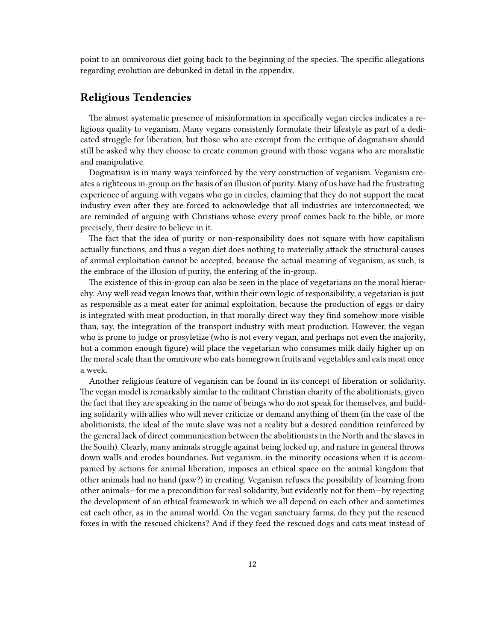point to an omnivorous diet going back to the beginning of the species. The specific allegations regarding evolution are debunked in detail in the appendix.

#### <span id="page-11-0"></span>**Religious Tendencies**

The almost systematic presence of misinformation in specifically vegan circles indicates a religious quality to veganism. Many vegans consistenly formulate their lifestyle as part of a dedicated struggle for liberation, but those who are exempt from the critique of dogmatism should still be asked why they choose to create common ground with those vegans who are moralistic and manipulative.

Dogmatism is in many ways reinforced by the very construction of veganism. Veganism creates a righteous in-group on the basis of an illusion of purity. Many of us have had the frustrating experience of arguing with vegans who go in circles, claiming that they do not support the meat industry even after they are forced to acknowledge that all industries are interconnected; we are reminded of arguing with Christians whose every proof comes back to the bible, or more precisely, their desire to believe in it.

The fact that the idea of purity or non-responsibility does not square with how capitalism actually functions, and thus a vegan diet does nothing to materially attack the structural causes of animal exploitation cannot be accepted, because the actual meaning of veganism, as such, is the embrace of the illusion of purity, the entering of the in-group.

The existence of this in-group can also be seen in the place of vegetarians on the moral hierarchy. Any well read vegan knows that, within their own logic of responsibility, a vegetarian is just as responsible as a meat eater for animal exploitation, because the production of eggs or dairy is integrated with meat production, in that morally direct way they find somehow more visible than, say, the integration of the transport industry with meat production. However, the vegan who is prone to judge or prosyletize (who is not every vegan, and perhaps not even the majority, but a common enough figure) will place the vegetarian who consumes milk daily higher up on the moral scale than the omnivore who eats homegrown fruits and vegetables and eats meat once a week.

Another religious feature of veganism can be found in its concept of liberation or solidarity. The vegan model is remarkably similar to the militant Christian charity of the abolitionists, given the fact that they are speaking in the name of beings who do not speak for themselves, and building solidarity with allies who will never criticize or demand anything of them (in the case of the abolitionists, the ideal of the mute slave was not a reality but a desired condition reinforced by the general lack of direct communication between the abolitionists in the North and the slaves in the South). Clearly, many animals struggle against being locked up, and nature in general throws down walls and erodes boundaries. But veganism, in the minority occasions when it is accompanied by actions for animal liberation, imposes an ethical space on the animal kingdom that other animals had no hand (paw?) in creating. Veganism refuses the possibility of learning from other animals—for me a precondition for real solidarity, but evidently not for them—by rejecting the development of an ethical framework in which we all depend on each other and sometimes eat each other, as in the animal world. On the vegan sanctuary farms, do they put the rescued foxes in with the rescued chickens? And if they feed the rescued dogs and cats meat instead of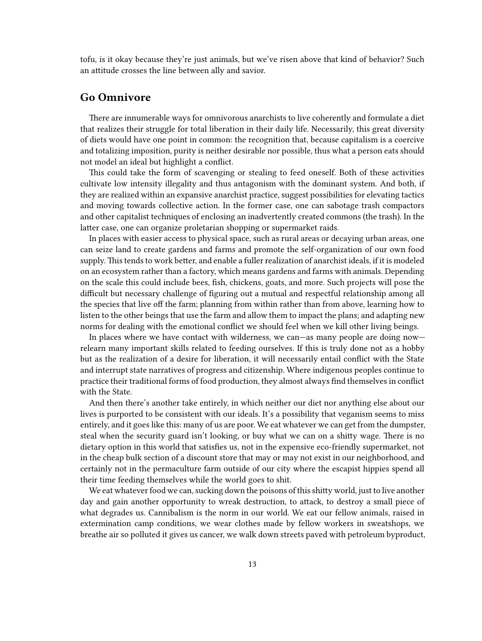tofu, is it okay because they're just animals, but we've risen above that kind of behavior? Such an attitude crosses the line between ally and savior.

#### <span id="page-12-0"></span>**Go Omnivore**

There are innumerable ways for omnivorous anarchists to live coherently and formulate a diet that realizes their struggle for total liberation in their daily life. Necessarily, this great diversity of diets would have one point in common: the recognition that, because capitalism is a coercive and totalizing imposition, purity is neither desirable nor possible, thus what a person eats should not model an ideal but highlight a conflict.

This could take the form of scavenging or stealing to feed oneself. Both of these activities cultivate low intensity illegality and thus antagonism with the dominant system. And both, if they are realized within an expansive anarchist practice, suggest possibilities for elevating tactics and moving towards collective action. In the former case, one can sabotage trash compactors and other capitalist techniques of enclosing an inadvertently created commons (the trash). In the latter case, one can organize proletarian shopping or supermarket raids.

In places with easier access to physical space, such as rural areas or decaying urban areas, one can seize land to create gardens and farms and promote the self-organization of our own food supply. This tends to work better, and enable a fuller realization of anarchist ideals, if it is modeled on an ecosystem rather than a factory, which means gardens and farms with animals. Depending on the scale this could include bees, fish, chickens, goats, and more. Such projects will pose the difficult but necessary challenge of figuring out a mutual and respectful relationship among all the species that live off the farm; planning from within rather than from above, learning how to listen to the other beings that use the farm and allow them to impact the plans; and adapting new norms for dealing with the emotional conflict we should feel when we kill other living beings.

In places where we have contact with wilderness, we can—as many people are doing now relearn many important skills related to feeding ourselves. If this is truly done not as a hobby but as the realization of a desire for liberation, it will necessarily entail conflict with the State and interrupt state narratives of progress and citizenship. Where indigenous peoples continue to practice their traditional forms of food production, they almost always find themselves in conflict with the State.

And then there's another take entirely, in which neither our diet nor anything else about our lives is purported to be consistent with our ideals. It's a possibility that veganism seems to miss entirely, and it goes like this: many of us are poor. We eat whatever we can get from the dumpster, steal when the security guard isn't looking, or buy what we can on a shitty wage. There is no dietary option in this world that satisfies us, not in the expensive eco-friendly supermarket, not in the cheap bulk section of a discount store that may or may not exist in our neighborhood, and certainly not in the permaculture farm outside of our city where the escapist hippies spend all their time feeding themselves while the world goes to shit.

We eat whatever food we can, sucking down the poisons of this shitty world, just to live another day and gain another opportunity to wreak destruction, to attack, to destroy a small piece of what degrades us. Cannibalism is the norm in our world. We eat our fellow animals, raised in extermination camp conditions, we wear clothes made by fellow workers in sweatshops, we breathe air so polluted it gives us cancer, we walk down streets paved with petroleum byproduct,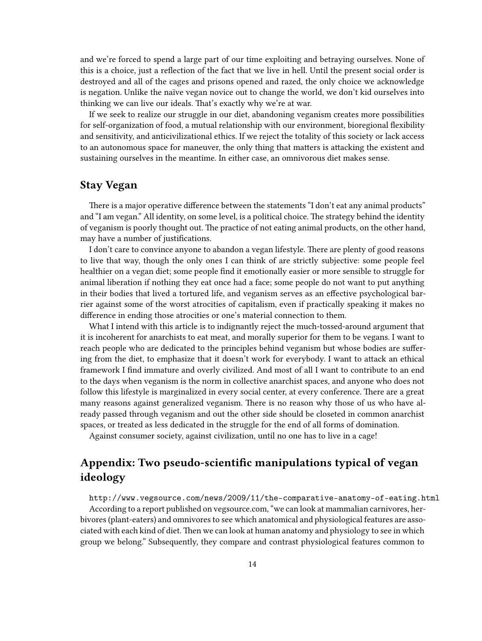and we're forced to spend a large part of our time exploiting and betraying ourselves. None of this is a choice, just a reflection of the fact that we live in hell. Until the present social order is destroyed and all of the cages and prisons opened and razed, the only choice we acknowledge is negation. Unlike the naïve vegan novice out to change the world, we don't kid ourselves into thinking we can live our ideals. That's exactly why we're at war.

If we seek to realize our struggle in our diet, abandoning veganism creates more possibilities for self-organization of food, a mutual relationship with our environment, bioregional flexibility and sensitivity, and anticivilizational ethics. If we reject the totality of this society or lack access to an autonomous space for maneuver, the only thing that matters is attacking the existent and sustaining ourselves in the meantime. In either case, an omnivorous diet makes sense.

#### <span id="page-13-0"></span>**Stay Vegan**

There is a major operative difference between the statements "I don't eat any animal products" and "I am vegan." All identity, on some level, is a political choice. The strategy behind the identity of veganism is poorly thought out. The practice of not eating animal products, on the other hand, may have a number of justifications.

I don't care to convince anyone to abandon a vegan lifestyle. There are plenty of good reasons to live that way, though the only ones I can think of are strictly subjective: some people feel healthier on a vegan diet; some people find it emotionally easier or more sensible to struggle for animal liberation if nothing they eat once had a face; some people do not want to put anything in their bodies that lived a tortured life, and veganism serves as an effective psychological barrier against some of the worst atrocities of capitalism, even if practically speaking it makes no difference in ending those atrocities or one's material connection to them.

What I intend with this article is to indignantly reject the much-tossed-around argument that it is incoherent for anarchists to eat meat, and morally superior for them to be vegans. I want to reach people who are dedicated to the principles behind veganism but whose bodies are suffering from the diet, to emphasize that it doesn't work for everybody. I want to attack an ethical framework I find immature and overly civilized. And most of all I want to contribute to an end to the days when veganism is the norm in collective anarchist spaces, and anyone who does not follow this lifestyle is marginalized in every social center, at every conference. There are a great many reasons against generalized veganism. There is no reason why those of us who have already passed through veganism and out the other side should be closeted in common anarchist spaces, or treated as less dedicated in the struggle for the end of all forms of domination.

Against consumer society, against civilization, until no one has to live in a cage!

### <span id="page-13-1"></span>**Appendix: Two pseudo-scientific manipulations typical of vegan ideology**

<http://www.vegsource.com/news/2009/11/the-comparative-anatomy-of-eating.html> According to a report published on vegsource.com, "we can look at mammalian carnivores, herbivores (plant-eaters) and omnivores to see which anatomical and physiological features are associated with each kind of diet. Then we can look at human anatomy and physiology to see in which group we belong." Subsequently, they compare and contrast physiological features common to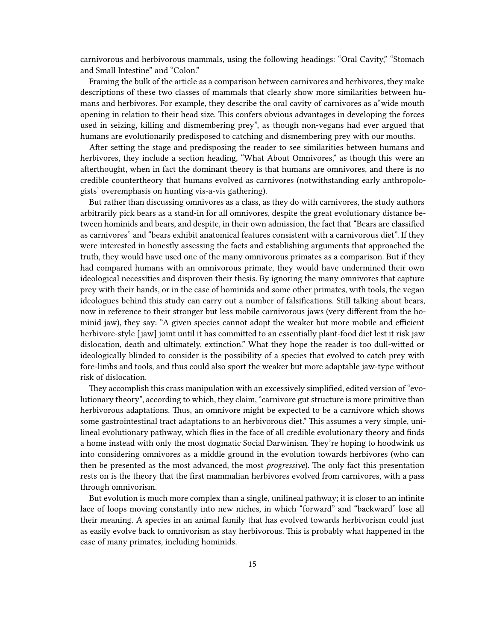carnivorous and herbivorous mammals, using the following headings: "Oral Cavity," "Stomach and Small Intestine" and "Colon."

Framing the bulk of the article as a comparison between carnivores and herbivores, they make descriptions of these two classes of mammals that clearly show more similarities between humans and herbivores. For example, they describe the oral cavity of carnivores as a"wide mouth opening in relation to their head size. This confers obvious advantages in developing the forces used in seizing, killing and dismembering prey", as though non-vegans had ever argued that humans are evolutionarily predisposed to catching and dismembering prey with our mouths.

After setting the stage and predisposing the reader to see similarities between humans and herbivores, they include a section heading, "What About Omnivores," as though this were an afterthought, when in fact the dominant theory is that humans are omnivores, and there is no credible countertheory that humans evolved as carnivores (notwithstanding early anthropologists' overemphasis on hunting vis-a-vis gathering).

But rather than discussing omnivores as a class, as they do with carnivores, the study authors arbitrarily pick bears as a stand-in for all omnivores, despite the great evolutionary distance between hominids and bears, and despite, in their own admission, the fact that "Bears are classified as carnivores" and "bears exhibit anatomical features consistent with a carnivorous diet". If they were interested in honestly assessing the facts and establishing arguments that approached the truth, they would have used one of the many omnivorous primates as a comparison. But if they had compared humans with an omnivorous primate, they would have undermined their own ideological necessities and disproven their thesis. By ignoring the many omnivores that capture prey with their hands, or in the case of hominids and some other primates, with tools, the vegan ideologues behind this study can carry out a number of falsifications. Still talking about bears, now in reference to their stronger but less mobile carnivorous jaws (very different from the hominid jaw), they say: "A given species cannot adopt the weaker but more mobile and efficient herbivore-style [jaw] joint until it has committed to an essentially plant-food diet lest it risk jaw dislocation, death and ultimately, extinction." What they hope the reader is too dull-witted or ideologically blinded to consider is the possibility of a species that evolved to catch prey with fore-limbs and tools, and thus could also sport the weaker but more adaptable jaw-type without risk of dislocation.

They accomplish this crass manipulation with an excessively simplified, edited version of "evolutionary theory", according to which, they claim, "carnivore gut structure is more primitive than herbivorous adaptations. Thus, an omnivore might be expected to be a carnivore which shows some gastrointestinal tract adaptations to an herbivorous diet." This assumes a very simple, unilineal evolutionary pathway, which flies in the face of all credible evolutionary theory and finds a home instead with only the most dogmatic Social Darwinism. They're hoping to hoodwink us into considering omnivores as a middle ground in the evolution towards herbivores (who can then be presented as the most advanced, the most *progressive*). The only fact this presentation rests on is the theory that the first mammalian herbivores evolved from carnivores, with a pass through omnivorism.

But evolution is much more complex than a single, unilineal pathway; it is closer to an infinite lace of loops moving constantly into new niches, in which "forward" and "backward" lose all their meaning. A species in an animal family that has evolved towards herbivorism could just as easily evolve back to omnivorism as stay herbivorous. This is probably what happened in the case of many primates, including hominids.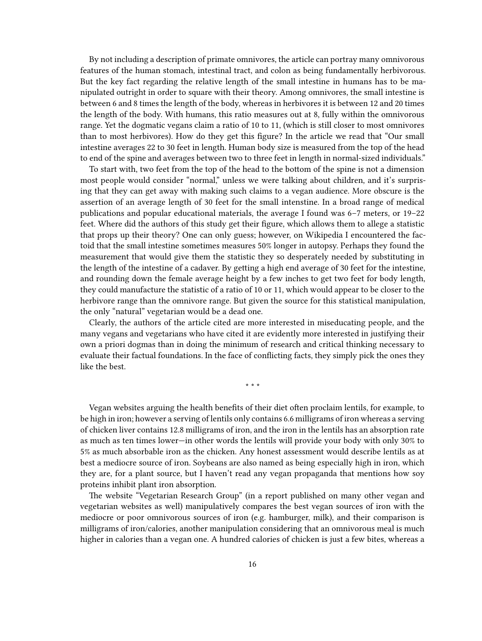By not including a description of primate omnivores, the article can portray many omnivorous features of the human stomach, intestinal tract, and colon as being fundamentally herbivorous. But the key fact regarding the relative length of the small intestine in humans has to be manipulated outright in order to square with their theory. Among omnivores, the small intestine is between 6 and 8 times the length of the body, whereas in herbivores it is between 12 and 20 times the length of the body. With humans, this ratio measures out at 8, fully within the omnivorous range. Yet the dogmatic vegans claim a ratio of 10 to 11, (which is still closer to most omnivores than to most herbivores). How do they get this figure? In the article we read that "Our small intestine averages 22 to 30 feet in length. Human body size is measured from the top of the head to end of the spine and averages between two to three feet in length in normal-sized individuals."

To start with, two feet from the top of the head to the bottom of the spine is not a dimension most people would consider "normal," unless we were talking about children, and it's surprising that they can get away with making such claims to a vegan audience. More obscure is the assertion of an average length of 30 feet for the small intenstine. In a broad range of medical publications and popular educational materials, the average I found was 6–7 meters, or 19–22 feet. Where did the authors of this study get their figure, which allows them to allege a statistic that props up their theory? One can only guess; however, on Wikipedia I encountered the factoid that the small intestine sometimes measures 50% longer in autopsy. Perhaps they found the measurement that would give them the statistic they so desperately needed by substituting in the length of the intestine of a cadaver. By getting a high end average of 30 feet for the intestine, and rounding down the female average height by a few inches to get two feet for body length, they could manufacture the statistic of a ratio of 10 or 11, which would appear to be closer to the herbivore range than the omnivore range. But given the source for this statistical manipulation, the only "natural" vegetarian would be a dead one.

Clearly, the authors of the article cited are more interested in miseducating people, and the many vegans and vegetarians who have cited it are evidently more interested in justifying their own a priori dogmas than in doing the minimum of research and critical thinking necessary to evaluate their factual foundations. In the face of conflicting facts, they simply pick the ones they like the best.

\* \* \*

Vegan websites arguing the health benefits of their diet often proclaim lentils, for example, to be high in iron; however a serving of lentils only contains 6.6 milligrams of iron whereas a serving of chicken liver contains 12.8 milligrams of iron, and the iron in the lentils has an absorption rate as much as ten times lower—in other words the lentils will provide your body with only 30% to 5% as much absorbable iron as the chicken. Any honest assessment would describe lentils as at best a mediocre source of iron. Soybeans are also named as being especially high in iron, which they are, for a plant source, but I haven't read any vegan propaganda that mentions how soy proteins inhibit plant iron absorption.

The website "Vegetarian Research Group" (in a report published on many other vegan and vegetarian websites as well) manipulatively compares the best vegan sources of iron with the mediocre or poor omnivorous sources of iron (e.g. hamburger, milk), and their comparison is milligrams of iron/calories, another manipulation considering that an omnivorous meal is much higher in calories than a vegan one. A hundred calories of chicken is just a few bites, whereas a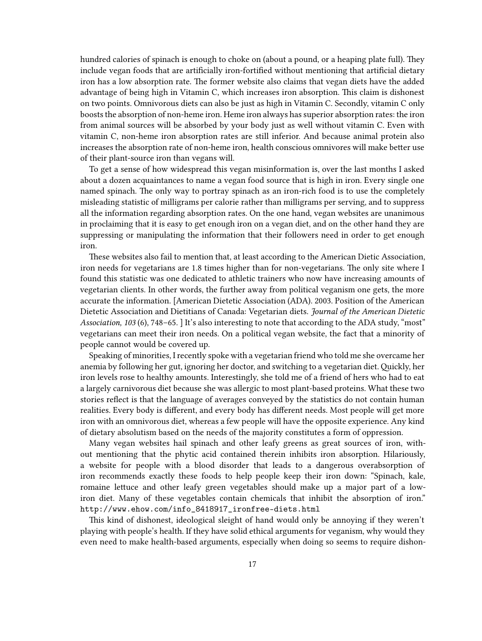hundred calories of spinach is enough to choke on (about a pound, or a heaping plate full). They include vegan foods that are artificially iron-fortified without mentioning that artificial dietary iron has a low absorption rate. The former website also claims that vegan diets have the added advantage of being high in Vitamin C, which increases iron absorption. This claim is dishonest on two points. Omnivorous diets can also be just as high in Vitamin C. Secondly, vitamin C only boosts the absorption of non-heme iron. Heme iron always has superior absorption rates: the iron from animal sources will be absorbed by your body just as well without vitamin C. Even with vitamin C, non-heme iron absorption rates are still inferior. And because animal protein also increases the absorption rate of non-heme iron, health conscious omnivores will make better use of their plant-source iron than vegans will.

To get a sense of how widespread this vegan misinformation is, over the last months I asked about a dozen acquaintances to name a vegan food source that is high in iron. Every single one named spinach. The only way to portray spinach as an iron-rich food is to use the completely misleading statistic of milligrams per calorie rather than milligrams per serving, and to suppress all the information regarding absorption rates. On the one hand, vegan websites are unanimous in proclaiming that it is easy to get enough iron on a vegan diet, and on the other hand they are suppressing or manipulating the information that their followers need in order to get enough iron.

These websites also fail to mention that, at least according to the American Dietic Association, iron needs for vegetarians are 1.8 times higher than for non-vegetarians. The only site where I found this statistic was one dedicated to athletic trainers who now have increasing amounts of vegetarian clients. In other words, the further away from political veganism one gets, the more accurate the information. [American Dietetic Association (ADA). 2003. Position of the American Dietetic Association and Dietitians of Canada: Vegetarian diets. *Journal of the American Dietetic Association, 103* (6), 748–65. ] It's also interesting to note that according to the ADA study, "most" vegetarians can meet their iron needs. On a political vegan website, the fact that a minority of people cannot would be covered up.

Speaking of minorities, I recently spoke with a vegetarian friend who told me she overcame her anemia by following her gut, ignoring her doctor, and switching to a vegetarian diet.Quickly, her iron levels rose to healthy amounts. Interestingly, she told me of a friend of hers who had to eat a largely carnivorous diet because she was allergic to most plant-based proteins. What these two stories reflect is that the language of averages conveyed by the statistics do not contain human realities. Every body is different, and every body has different needs. Most people will get more iron with an omnivorous diet, whereas a few people will have the opposite experience. Any kind of dietary absolutism based on the needs of the majority constitutes a form of oppression.

Many vegan websites hail spinach and other leafy greens as great sources of iron, without mentioning that the phytic acid contained therein inhibits iron absorption. Hilariously, a website for people with a blood disorder that leads to a dangerous overabsorption of iron recommends exactly these foods to help people keep their iron down: "Spinach, kale, romaine lettuce and other leafy green vegetables should make up a major part of a lowiron diet. Many of these vegetables contain chemicals that inhibit the absorption of iron." [http://www.ehow.com/info\\_8418917\\_ironfree-diets.html](http://www.ehow.com/info_8418917_ironfree-diets.html)

This kind of dishonest, ideological sleight of hand would only be annoying if they weren't playing with people's health. If they have solid ethical arguments for veganism, why would they even need to make health-based arguments, especially when doing so seems to require dishon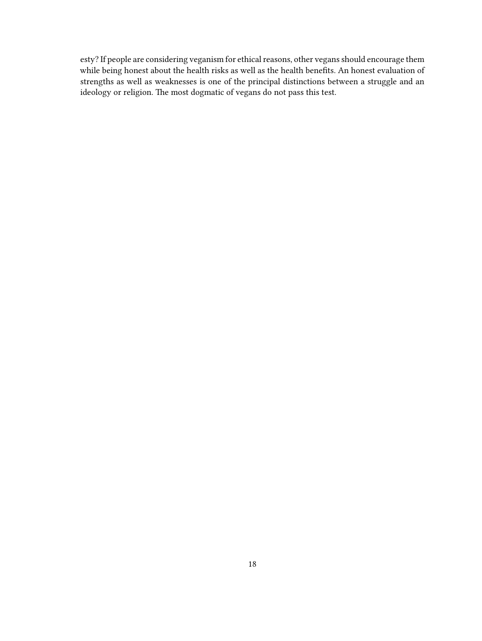esty? If people are considering veganism for ethical reasons, other vegans should encourage them while being honest about the health risks as well as the health benefits. An honest evaluation of strengths as well as weaknesses is one of the principal distinctions between a struggle and an ideology or religion. The most dogmatic of vegans do not pass this test.